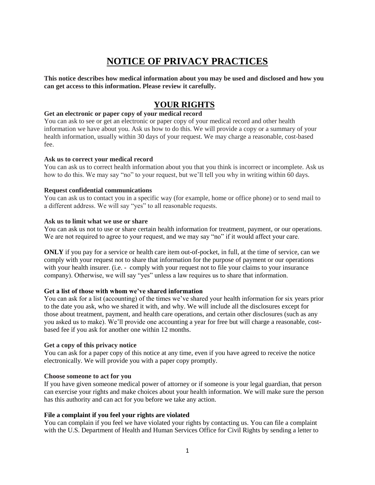# **NOTICE OF PRIVACY PRACTICES**

**This notice describes how medical information about you may be used and disclosed and how you can get access to this information. Please review it carefully.**

### **YOUR RIGHTS**

### **Get an electronic or paper copy of your medical record**

You can ask to see or get an electronic or paper copy of your medical record and other health information we have about you. Ask us how to do this. We will provide a copy or a summary of your health information, usually within 30 days of your request. We may charge a reasonable, cost-based fee.

### **Ask us to correct your medical record**

You can ask us to correct health information about you that you think is incorrect or incomplete. Ask us how to do this. We may say "no" to your request, but we'll tell you why in writing within 60 days.

### **Request confidential communications**

You can ask us to contact you in a specific way (for example, home or office phone) or to send mail to a different address. We will say "yes" to all reasonable requests.

### **Ask us to limit what we use or share**

You can ask us not to use or share certain health information for treatment, payment, or our operations. We are not required to agree to your request, and we may say "no" if it would affect your care.

**ONLY** if you pay for a service or health care item out-of-pocket, in full, at the time of service, can we comply with your request not to share that information for the purpose of payment or our operations with your health insurer. (i.e. - comply with your request not to file your claims to your insurance company). Otherwise, we will say "yes" unless a law requires us to share that information.

### **Get a list of those with whom we've shared information**

You can ask for a list (accounting) of the times we've shared your health information for six years prior to the date you ask, who we shared it with, and why. We will include all the disclosures except for those about treatment, payment, and health care operations, and certain other disclosures (such as any you asked us to make). We'll provide one accounting a year for free but will charge a reasonable, costbased fee if you ask for another one within 12 months.

### **Get a copy of this privacy notice**

You can ask for a paper copy of this notice at any time, even if you have agreed to receive the notice electronically. We will provide you with a paper copy promptly.

### **Choose someone to act for you**

If you have given someone medical power of attorney or if someone is your legal guardian, that person can exercise your rights and make choices about your health information. We will make sure the person has this authority and can act for you before we take any action.

### **File a complaint if you feel your rights are violated**

You can complain if you feel we have violated your rights by contacting us. You can file a complaint with the U.S. Department of Health and Human Services Office for Civil Rights by sending a letter to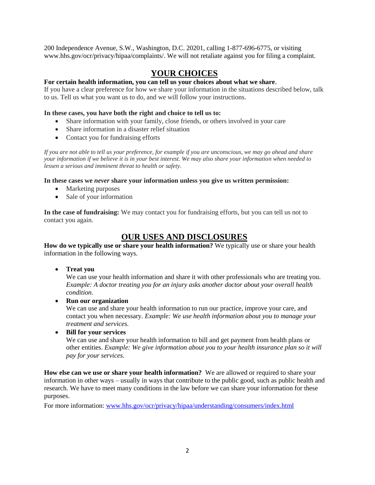200 Independence Avenue, S.W., Washington, D.C. 20201, calling 1-877-696-6775, or visiting www.hhs.gov/ocr/privacy/hipaa/complaints/. We will not retaliate against you for filing a complaint.

### **YOUR CHOICES**

### **For certain health information, you can tell us your choices about what we share.**

If you have a clear preference for how we share your information in the situations described below, talk to us. Tell us what you want us to do, and we will follow your instructions.

### **In these cases, you have both the right and choice to tell us to:**

- Share information with your family, close friends, or others involved in your care
- Share information in a disaster relief situation
- Contact you for fundraising efforts

*If you are not able to tell us your preference, for example if you are unconscious, we may go ahead and share your information if we believe it is in your best interest. We may also share your information when needed to lessen a serious and imminent threat to health or safety.*

### **In these cases we** *never* **share your information unless you give us written permission:**

- Marketing purposes
- Sale of your information

**In the case of fundraising:** We may contact you for fundraising efforts, but you can tell us not to contact you again.

## **OUR USES AND DISCLOSURES**

**How do we typically use or share your health information?** We typically use or share your health information in the following ways.

• **Treat you**

We can use your health information and share it with other professionals who are treating you. *Example: A doctor treating you for an injury asks another doctor about your overall health condition.*

• **Run our organization**

We can use and share your health information to run our practice, improve your care, and contact you when necessary. *Example: We use health information about you to manage your treatment and services.*

• **Bill for your services**

We can use and share your health information to bill and get payment from health plans or other entities. *Example: We give information about you to your health insurance plan so it will pay for your services.*

**How else can we use or share your health information?** We are allowed or required to share your information in other ways – usually in ways that contribute to the public good, such as public health and research. We have to meet many conditions in the law before we can share your information for these purposes.

For more information: [www.hhs.gov/ocr/privacy/hipaa/understanding/consumers/index.html](http://www.hhs.gov/ocr/privacy/hipaa/understanding/consumers/index.html)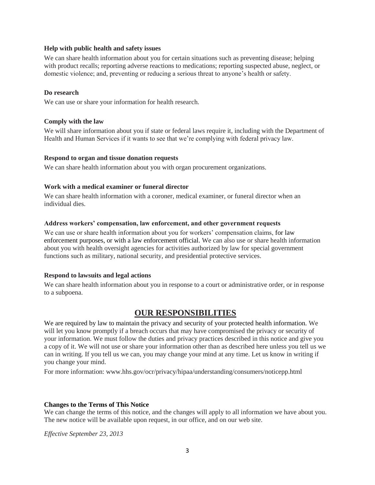#### **Help with public health and safety issues**

We can share health information about you for certain situations such as preventing disease; helping with product recalls; reporting adverse reactions to medications; reporting suspected abuse, neglect, or domestic violence; and, preventing or reducing a serious threat to anyone's health or safety.

### **Do research**

We can use or share your information for health research.

### **Comply with the law**

We will share information about you if state or federal laws require it, including with the Department of Health and Human Services if it wants to see that we're complying with federal privacy law.

### **Respond to organ and tissue donation requests**

We can share health information about you with organ procurement organizations.

### **Work with a medical examiner or funeral director**

We can share health information with a coroner, medical examiner, or funeral director when an individual dies.

### **Address workers' compensation, law enforcement, and other government requests**

We can use or share health information about you for workers' compensation claims, for law enforcement purposes, or with a law enforcement official. We can also use or share health information about you with health oversight agencies for activities authorized by law for special government functions such as military, national security, and presidential protective services.

### **Respond to lawsuits and legal actions**

We can share health information about you in response to a court or administrative order, or in response to a subpoena.

### **OUR RESPONSIBILITIES**

We are required by law to maintain the privacy and security of your protected health information. We will let you know promptly if a breach occurs that may have compromised the privacy or security of your information. We must follow the duties and privacy practices described in this notice and give you a copy of it. We will not use or share your information other than as described here unless you tell us we can in writing. If you tell us we can, you may change your mind at any time. Let us know in writing if you change your mind.

For more information: www.hhs.gov/ocr/privacy/hipaa/understanding/consumers/noticepp.html

### **Changes to the Terms of This Notice**

We can change the terms of this notice, and the changes will apply to all information we have about you. The new notice will be available upon request, in our office, and on our web site.

*Effective September 23, 2013*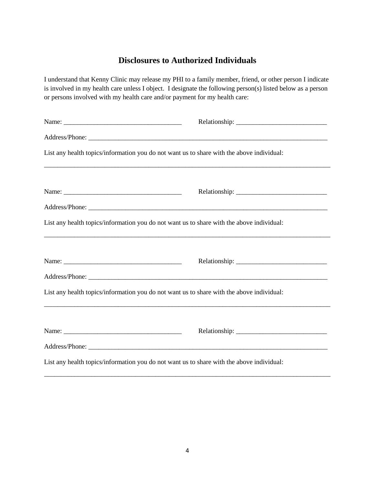## **Disclosures to Authorized Individuals**

I understand that Kenny Clinic may release my PHI to a family member, friend, or other person I indicate is involved in my health care unless I object. I designate the following person(s) listed below as a person or persons involved with my health care and/or payment for my health care:

| List any health topics/information you do not want us to share with the above individual: |  |
|-------------------------------------------------------------------------------------------|--|
|                                                                                           |  |
|                                                                                           |  |
| List any health topics/information you do not want us to share with the above individual: |  |
|                                                                                           |  |
|                                                                                           |  |
|                                                                                           |  |
| List any health topics/information you do not want us to share with the above individual: |  |
|                                                                                           |  |
|                                                                                           |  |
|                                                                                           |  |
| List any health topics/information you do not want us to share with the above individual: |  |

\_\_\_\_\_\_\_\_\_\_\_\_\_\_\_\_\_\_\_\_\_\_\_\_\_\_\_\_\_\_\_\_\_\_\_\_\_\_\_\_\_\_\_\_\_\_\_\_\_\_\_\_\_\_\_\_\_\_\_\_\_\_\_\_\_\_\_\_\_\_\_\_\_\_\_\_\_\_\_\_\_\_\_\_\_